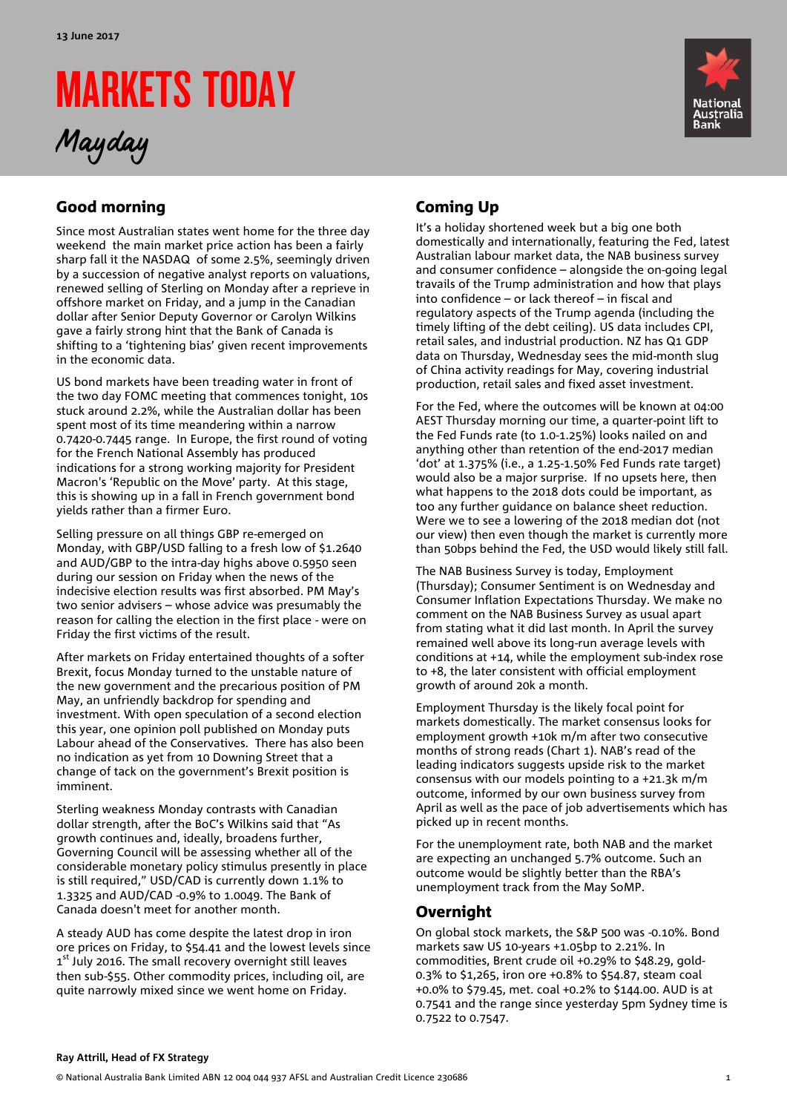# MARKETS TODAY

Mayday



# Good morning

Since most Australian states went home for the three day weekend the main market price action has been a fairly sharp fall it the NASDAQ of some 2.5%, seemingly driven by a succession of negative analyst reports on valuations, renewed selling of Sterling on Monday after a reprieve in offshore market on Friday, and a jump in the Canadian dollar after Senior Deputy Governor or Carolyn Wilkins gave a fairly strong hint that the Bank of Canada is shifting to a 'tightening bias' given recent improvements in the economic data.

US bond markets have been treading water in front of the two day FOMC meeting that commences tonight, 10s stuck around 2.2%, while the Australian dollar has been spent most of its time meandering within a narrow 0.7420-0.7445 range. In Europe, the first round of voting for the French National Assembly has produced indications for a strong working majority for President Macron's 'Republic on the Move' party. At this stage, this is showing up in a fall in French government bond yields rather than a firmer Euro.

Selling pressure on all things GBP re-emerged on Monday, with GBP/USD falling to a fresh low of \$1.2640 and AUD/GBP to the intra-day highs above 0.5950 seen during our session on Friday when the news of the indecisive election results was first absorbed. PM May's two senior advisers – whose advice was presumably the reason for calling the election in the first place - were on Friday the first victims of the result.

After markets on Friday entertained thoughts of a softer Brexit, focus Monday turned to the unstable nature of the new government and the precarious position of PM May, an unfriendly backdrop for spending and investment. With open speculation of a second election this year, one opinion poll published on Monday puts Labour ahead of the Conservatives. There has also been no indication as yet from 10 Downing Street that a change of tack on the government's Brexit position is imminent.

Sterling weakness Monday contrasts with Canadian dollar strength, after the BoC's Wilkins said that "As growth continues and, ideally, broadens further, Governing Council will be assessing whether all of the considerable monetary policy stimulus presently in place is still required," USD/CAD is currently down 1.1% to 1.3325 and AUD/CAD -0.9% to 1.0049. The Bank of Canada doesn't meet for another month.

A steady AUD has come despite the latest drop in iron ore prices on Friday, to \$54.41 and the lowest levels since 1<sup>st</sup> July 2016. The small recovery overnight still leaves then sub-\$55. Other commodity prices, including oil, are quite narrowly mixed since we went home on Friday.

# Coming Up

It's a holiday shortened week but a big one both domestically and internationally, featuring the Fed, latest Australian labour market data, the NAB business survey and consumer confidence – alongside the on-going legal travails of the Trump administration and how that plays into confidence – or lack thereof – in fiscal and regulatory aspects of the Trump agenda (including the timely lifting of the debt ceiling). US data includes CPI, retail sales, and industrial production. NZ has Q1 GDP data on Thursday, Wednesday sees the mid-month slug of China activity readings for May, covering industrial production, retail sales and fixed asset investment.

For the Fed, where the outcomes will be known at 04:00 AEST Thursday morning our time, a quarter-point lift to the Fed Funds rate (to 1.0-1.25%) looks nailed on and anything other than retention of the end-2017 median 'dot' at 1.375% (i.e., a 1.25-1.50% Fed Funds rate target) would also be a major surprise. If no upsets here, then what happens to the 2018 dots could be important, as too any further guidance on balance sheet reduction. Were we to see a lowering of the 2018 median dot (not our view) then even though the market is currently more than 50bps behind the Fed, the USD would likely still fall.

The NAB Business Survey is today, Employment (Thursday); Consumer Sentiment is on Wednesday and Consumer Inflation Expectations Thursday. We make no comment on the NAB Business Survey as usual apart from stating what it did last month. In April the survey remained well above its long-run average levels with conditions at +14, while the employment sub-index rose to +8, the later consistent with official employment growth of around 20k a month.

Employment Thursday is the likely focal point for markets domestically. The market consensus looks for employment growth +10k m/m after two consecutive months of strong reads (Chart 1). NAB's read of the leading indicators suggests upside risk to the market consensus with our models pointing to a +21.3k m/m outcome, informed by our own business survey from April as well as the pace of job advertisements which has picked up in recent months.

For the unemployment rate, both NAB and the market are expecting an unchanged 5.7% outcome. Such an outcome would be slightly better than the RBA's unemployment track from the May SoMP.

# Overnight

On global stock markets, the S&P 500 was -0.10%. Bond markets saw US 10-years +1.05bp to 2.21%. In commodities, Brent crude oil +0.29% to \$48.29, gold-0.3% to \$1,265, iron ore +0.8% to \$54.87, steam coal +0.0% to \$79.45, met. coal +0.2% to \$144.00. AUD is at 0.7541 and the range since yesterday 5pm Sydney time is 0.7522 to 0.7547.

#### **Ray Attrill, Head of FX Strategy**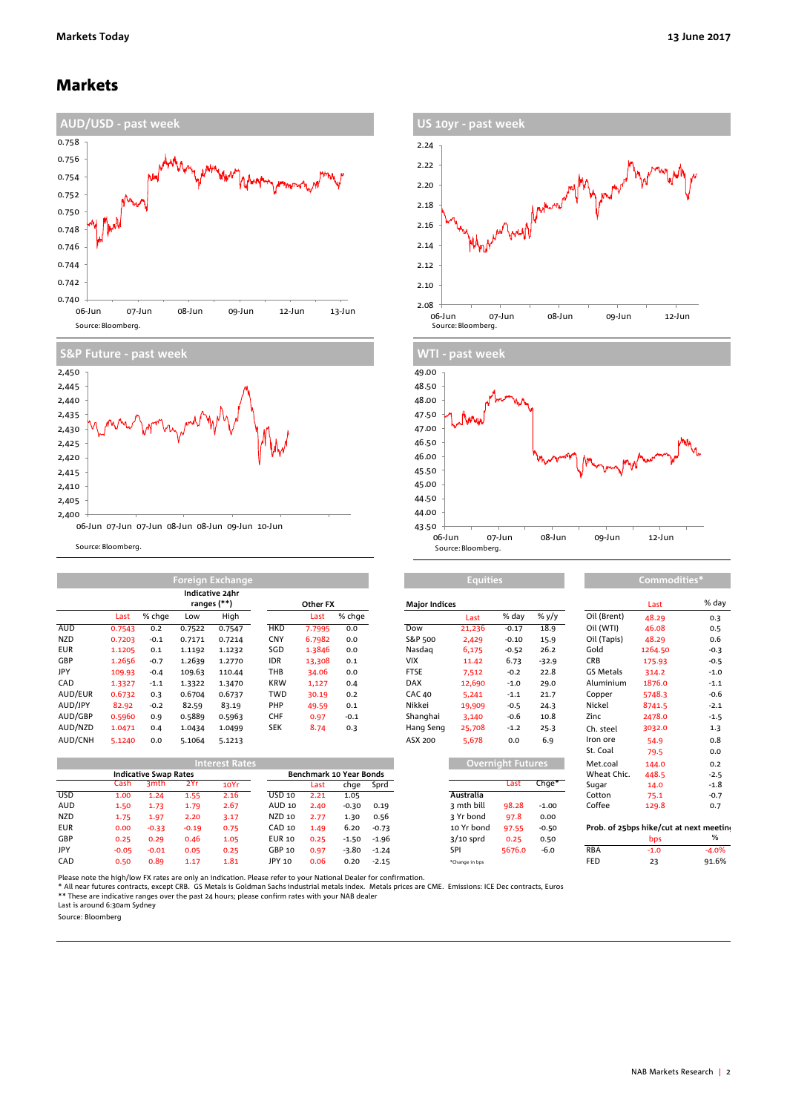## Markets





Source: Bloomberg.

|            | <b>Foreign Exchange</b> |        |        |                                |            |          |        | <b>Equities</b>      |        |         |         | Commodities* |         |        |  |
|------------|-------------------------|--------|--------|--------------------------------|------------|----------|--------|----------------------|--------|---------|---------|--------------|---------|--------|--|
|            |                         |        |        | Indicative 24hr<br>ranges (**) |            | Other FX |        | <b>Major Indices</b> |        |         |         |              | Last    | % da   |  |
|            | Last                    | % chae | Low    | High                           |            | Last     | % chge |                      | Last   | % day   | % y/y   | Oil (Brent)  | 48.29   | 0.3    |  |
| AUD        | 0.7543                  | 0.2    | 0.7522 | 0.7547                         | <b>HKD</b> | 7.7995   | 0.0    | Dow                  | 21,236 | $-0.17$ | 18.9    | Oil (WTI)    | 46.08   | 0.5    |  |
| <b>NZD</b> | 0.7203                  | $-0.1$ | 0.7171 | 0.7214                         | <b>CNY</b> | 6.7982   | 0.0    | S&P 500              | 2,429  | $-0.10$ | 15.9    | Oil (Tapis)  | 48.29   | 0.6    |  |
| <b>EUR</b> | 1.1205                  | 0.1    | 1.1192 | 1.1232                         | SGD        | 1.3846   | 0.0    | Nasdag               | 6,175  | $-0.52$ | 26.2    | Gold         | 1264.50 | $-0.3$ |  |
| GBP        | 1.2656                  | $-0.7$ | 1.2639 | 1.2770                         | <b>IDR</b> | 13,308   | 0.1    | <b>VIX</b>           | 11.42  | 6.73    | $-32.9$ | <b>CRB</b>   | 175.93  | $-0.5$ |  |
| <b>JPY</b> | 109.93                  | $-0.4$ | 109.63 | 110.44                         | THB        | 34.06    | 0.0    | <b>FTSE</b>          | 7,512  | $-0.2$  | 22.8    | GS Metals    | 314.2   | $-1.0$ |  |
| CAD        | 1.3327                  | $-1.1$ | 1.3322 | 1.3470                         | <b>KRW</b> | 1,127    | 0.4    | <b>DAX</b>           | 12,690 | $-1.0$  | 29.0    | Aluminium    | 1876.0  | $-1.1$ |  |
| AUD/EUR    | 0.6732                  | 0.3    | 0.6704 | 0.6737                         | <b>TWD</b> | 30.19    | 0.2    | <b>CAC 40</b>        | 5,241  | $-1.1$  | 21.7    | Copper       | 5748.3  | $-0.6$ |  |
| AUD/JPY    | 82.92                   | $-0.2$ | 82.59  | 83.19                          | PHP        | 49.59    | 0.1    | Nikkei               | 19,909 | $-0.5$  | 24.3    | Nickel       | 8741.5  | $-2.1$ |  |
| AUD/GBP    | 0.5960                  | 0.9    | 0.5889 | 0.5963                         | <b>CHF</b> | 0.97     | $-0.1$ | Shanghai             | 3,140  | $-0.6$  | 10.8    | Zinc         | 2478.0  | $-1.5$ |  |
| AUD/NZD    | 1.0471                  | 0.4    | 1.0434 | 1.0499                         | <b>SEK</b> | 8.74     | 0.3    | Hang Seng            | 25,708 | $-1.2$  | 25.3    | Ch. steel    | 3032.0  | 1.3    |  |
| AUD/CNH    | 5.1240                  | 0.0    | 5.1064 | 5.1213                         |            |          |        | ASX 200              | 5,678  | 0.0     | 6.9     | Iron ore     | 54.9    | 0.8    |  |

| <b>Interest Rates</b> |                              |                   |         |      |                                |      |         |         | Overnight Futures, |        |         | Met.coal                                | 144.0  | 0.2     |
|-----------------------|------------------------------|-------------------|---------|------|--------------------------------|------|---------|---------|--------------------|--------|---------|-----------------------------------------|--------|---------|
|                       | <b>Indicative Swap Rates</b> |                   |         |      | <b>Benchmark 10 Year Bonds</b> |      |         |         |                    |        |         | Wheat Chic.                             | 448.5  | $-2.5$  |
|                       | Cash                         | 3 <sub>m</sub> th | 2Yr     | 10Yr |                                | Last | chge    | Sprd    |                    | Last   | $CnGe*$ | Sugar                                   | 14.0   | $-1.8$  |
| <b>USD</b>            | 1.00                         | 24                | 1.55    | 2.16 | USD 10                         | 2.21 | 1.05    |         | Australia          |        |         | Cotton                                  | 75.1   | $-0.7$  |
| <b>AUD</b>            | 1.50                         | 1.73              | 1.79    | 2.67 | <b>AUD 10</b>                  | 2.40 | $-0.30$ | 0.19    | 3 mth bill         | 98.28  | $-1.00$ | Coffee                                  | 129.8  | 0.7     |
| <b>NZD</b>            | 1.75                         | 1.97              | 2.20    | 3.17 | <b>NZD 10</b>                  | 2.77 | 1.30    | 0.56    | 3 Yr bond          | 97.8   | 0.00    |                                         |        |         |
| <b>EUR</b>            | 0.00                         | $-0.33$           | $-0.19$ | 0.75 | CAD 10                         | 1.49 | 6.20    | $-0.73$ | 10 Yr bond         | 97.55  | $-0.50$ | Prob. of 25bps hike/cut at next meeting |        |         |
| GBP                   | 0.25                         | 0.29              | 0.46    | 1.05 | <b>EUR 10</b>                  | 0.25 | $-1.50$ | $-1.96$ | $3/10$ sprd        | 0.25   | 0.50    |                                         | bps    |         |
| JPY                   | $-0.05$                      | $-0.01$           | 0.05    | 0.25 | GBP 10                         | 0.97 | $-3.80$ | $-1.24$ | SPI                | 5676.0 | $-6.0$  | <b>RBA</b>                              | $-1.0$ | $-4.0%$ |
| CAD                   | 0.50                         | 0.89              | 1.17    | 1.81 | JPY 10                         | 0.06 | 0.20    | $-2.15$ | *Change in bos     |        |         | FED                                     | 23     | 91.6%   |





### **Equities Commodities**

| ajor indices |                  |                          |         |
|--------------|------------------|--------------------------|---------|
|              | Last             | % day                    | % y/y   |
| w            | 21,236           | $-0.17$                  | 18.9    |
| P 500        | 2,429            | $-0.10$                  | 15.9    |
| ısdaq        | 6,175            | $-0.52$                  | 26.2    |
| x            | 11.42            | 6.73                     | $-32.9$ |
| SE           | 7,512            | $-0.2$                   | 22.8    |
| ١X           | 12,690           | $-1.0$                   | 29.0    |
| C 40         | 5,241            | $-1.1$                   | 21.7    |
| kkei         | 19,909           | $-0.5$                   | 24.3    |
| anghai       | 3,140            | $-0.6$                   | 10.8    |
| ing Seng     | 25,708           | $-1.2$                   | 25.3    |
| X 200        | 5.678            | 0.0                      | 6.9     |
|              |                  | <b>Overnight Futures</b> |         |
|              |                  | Last                     | $Chge*$ |
|              | <b>Australia</b> |                          |         |

| Overnight Futures |        |                   |  |  |  |  |  |  |
|-------------------|--------|-------------------|--|--|--|--|--|--|
|                   | Last   | Chge <sup>*</sup> |  |  |  |  |  |  |
| <b>\ustralia</b>  |        |                   |  |  |  |  |  |  |
| mth bill          | 98.28  | $-1.00$           |  |  |  |  |  |  |
| Yr bond           | 97.8   | 0.00              |  |  |  |  |  |  |
| o Yr bond.        | 97.55  | $-0.50$           |  |  |  |  |  |  |
| /10 sprd          | 0.25   | 0.50              |  |  |  |  |  |  |
| ١PΙ               | 5676.0 | $-6.0$            |  |  |  |  |  |  |
|                   |        |                   |  |  |  |  |  |  |

| Other FX |                      |         | <b>Major Indices</b> |             |                          |         |                  | Last                                    | % day   |
|----------|----------------------|---------|----------------------|-------------|--------------------------|---------|------------------|-----------------------------------------|---------|
| Last     | % chge               |         |                      | Last        | % day                    | % y/y   | Oil (Brent)      | 48.29                                   | 0.3     |
| 7.7995   | 0.0                  |         | Dow                  | 21,236      | $-0.17$                  | 18.9    | Oil (WTI)        | 46.08                                   | 0.5     |
| 6.7982   | 0.0                  |         | S&P 500              | 2,429       | $-0.10$                  | 15.9    | Oil (Tapis)      | 48.29                                   | 0.6     |
| 1.3846   | 0.0                  |         | Nasdag               | 6,175       | $-0.52$                  | 26.2    | Gold             | 1264.50                                 | $-0.3$  |
| 13,308   | 0.1                  |         | <b>VIX</b>           | 11.42       | 6.73                     | $-32.9$ | <b>CRB</b>       | 175.93                                  | $-0.5$  |
| 34.06    | 0.0                  |         | <b>FTSE</b>          | 7,512       | $-0.2$                   | 22.8    | <b>GS Metals</b> | 314.2                                   | $-1.0$  |
| 1,127    | 0.4                  |         | <b>DAX</b>           | 12,690      | $-1.0$                   | 29.0    | Aluminium        | 1876.0                                  | $-1.1$  |
| 30.19    | 0.2                  |         | CAC 40               | 5,241       | $-1.1$                   | 21.7    | Copper           | 5748.3                                  | $-0.6$  |
| 49.59    | 0.1                  |         | Nikkei               | 19,909      | $-0.5$                   | 24.3    | Nickel           | 8741.5                                  | $-2.1$  |
| 0.97     | $-0.1$               |         | Shanghai             | 3,140       | $-0.6$                   | 10.8    | Zinc             | 2478.0                                  | $-1.5$  |
| 8.74     | 0.3                  |         | Hang Seng            | 25,708      | $-1.2$                   | 25.3    | Ch. steel        | 3032.0                                  | 1.3     |
|          |                      |         | ASX 200              | 5,678       | 0.0                      | 6.9     | Iron ore         | 54.9                                    | 0.8     |
|          |                      |         |                      |             |                          |         | St. Coal         | 79.5                                    | 0.0     |
|          |                      |         |                      |             | <b>Overnight Futures</b> |         | Met.coal         | 144.0                                   | 0.2     |
|          | chmark 10 Year Bonds |         |                      |             |                          |         | Wheat Chic.      | 448.5                                   | $-2.5$  |
| Last     | chge                 | Sprd    |                      |             | Last                     | Chge*   | Sugar            | 14.0                                    | $-1.8$  |
| 2.21     | 1.05                 |         |                      | Australia   |                          |         | Cotton           | 75.1                                    | $-0.7$  |
| 2.40     | $-0.30$              | 0.19    |                      | 3 mth bill  | 98.28                    | $-1.00$ | Coffee           | 129.8                                   | 0.7     |
| 2.77     | 1.30                 | 0.56    |                      | 3 Yr bond   | 97.8                     | 0.00    |                  |                                         |         |
| 1.49     | 6.20                 | $-0.73$ |                      | 10 Yr bond  | 97.55                    | $-0.50$ |                  | Prob. of 25bps hike/cut at next meeting |         |
| 0.25     | $-1.50$              | $-1.96$ |                      | $3/10$ sprd | 0.25                     | 0.50    |                  | bps                                     | %       |
| 0.97     | $-3.80$              | $-1.24$ |                      | SPI         | 5676.0                   | $-6.0$  | <b>RBA</b>       | $-1.0$                                  | $-4.0%$ |
|          |                      |         |                      |             |                          |         |                  |                                         |         |

Please note the high/low FX rates are only an indication. Please refer to your National Dealer for confirmation.<br>\* All near futures contracts, except CRB. GS Metals is Goldman Sachs industrial metals index. Metals prices

Source: Bloomberg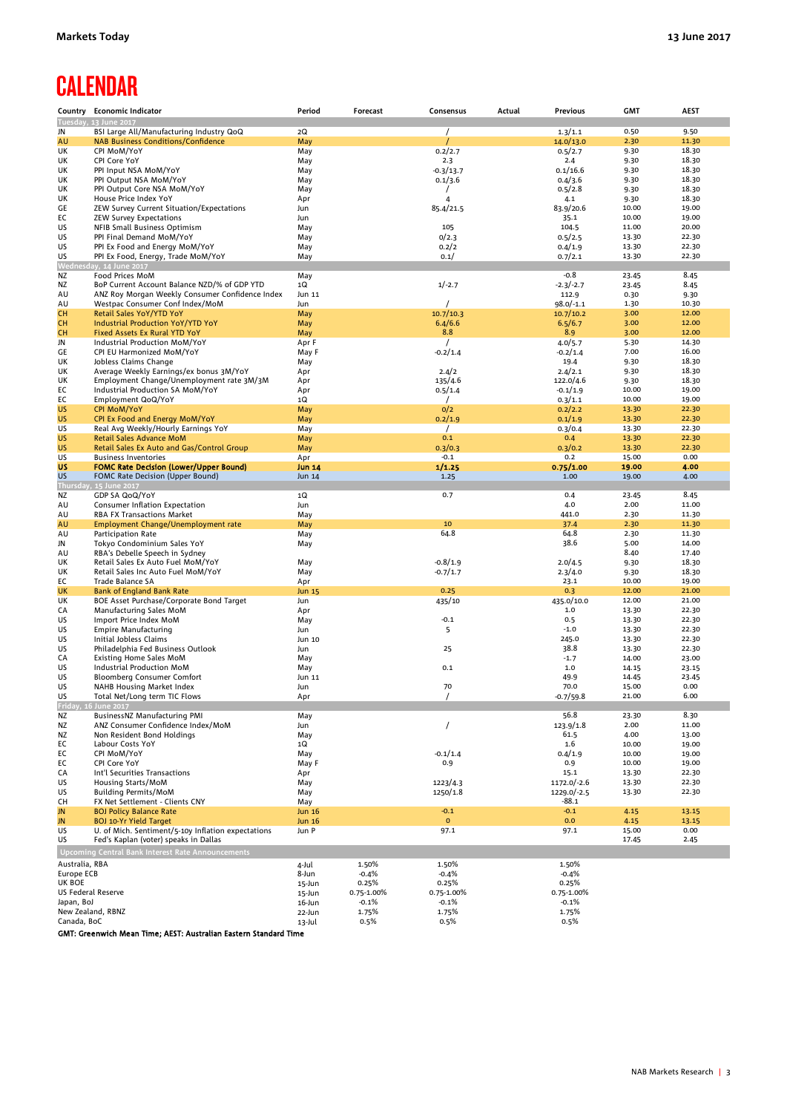# **CALENDAR**

| Country                          | <b>Economic Indicator</b>                                                                       | Period                 | Forecast            | Consensus                | Actual | <b>Previous</b>       | <b>GMT</b>     | <b>AEST</b>    |
|----------------------------------|-------------------------------------------------------------------------------------------------|------------------------|---------------------|--------------------------|--------|-----------------------|----------------|----------------|
|                                  | Tuesday, 13 June 2017<br>BSI Large All/Manufacturing Industry QoQ                               |                        |                     |                          |        |                       |                | 9.50           |
| JN<br>AU                         | <b>NAB Business Conditions/Confidence</b>                                                       | 2Q<br>May              |                     |                          |        | 1.3/1.1<br>14.0/13.0  | 0.50<br>2.30   | 11.30          |
| UK                               | CPI MoM/YoY                                                                                     | May                    |                     | 0.2/2.7                  |        | 0.5/2.7               | 9.30           | 18.30          |
| UK                               | CPI Core YoY                                                                                    | May                    |                     | 2.3                      |        | 2.4                   | 9.30           | 18.30          |
| UK                               | PPI Input NSA MoM/YoY                                                                           | May                    |                     | $-0.3/13.7$              |        | 0.1/16.6              | 9.30           | 18.30          |
| UK<br>UK                         | PPI Output NSA MoM/YoY<br>PPI Output Core NSA MoM/YoY                                           | May<br>May             |                     | 0.1/3.6                  |        | 0.4/3.6<br>0.5/2.8    | 9.30<br>9.30   | 18.30<br>18.30 |
| UK                               | House Price Index YoY                                                                           | Apr                    |                     | 4                        |        | 4.1                   | 9.30           | 18.30          |
| GE                               | ZEW Survey Current Situation/Expectations                                                       | Jun                    |                     | 85.4/21.5                |        | 83.9/20.6             | 10.00          | 19.00          |
| EС                               | <b>ZEW Survey Expectations</b>                                                                  | Jun                    |                     |                          |        | 35.1                  | 10.00          | 19.00          |
| US                               | NFIB Small Business Optimism                                                                    | May                    |                     | 105                      |        | 104.5                 | 11.00          | 20.00          |
| US<br>US                         | PPI Final Demand MoM/YoY<br>PPI Ex Food and Energy MoM/YoY                                      | May<br>May             |                     | 0/2.3<br>0.2/2           |        | 0.5/2.5<br>0.4/1.9    | 13.30<br>13.30 | 22.30<br>22.30 |
| US                               | PPI Ex Food, Energy, Trade MoM/YoY                                                              | May                    |                     | 0.1/                     |        | 0.7/2.1               | 13.30          | 22.30          |
|                                  | Wednesday, 14 June 2017                                                                         |                        |                     |                          |        |                       |                |                |
| ΝZ                               | Food Prices MoM                                                                                 | May                    |                     |                          |        | $-0.8$                | 23.45          | 8.45           |
| ΝZ<br>AU                         | BoP Current Account Balance NZD/% of GDP YTD<br>ANZ Roy Morgan Weekly Consumer Confidence Index | 1Q<br>Jun 11           |                     | $1/-2.7$                 |        | $-2.3/-2.7$<br>112.9  | 23.45<br>0.30  | 8.45<br>9.30   |
| AU                               | Westpac Consumer Conf Index/MoM                                                                 | Jun                    |                     | $\prime$                 |        | 98.0/-1.1             | 1.30           | 10.30          |
| <b>CH</b>                        | Retail Sales YoY/YTD YoY                                                                        | May                    |                     | 10.7/10.3                |        | 10.7/10.2             | 3.00           | 12.00          |
| CH                               | Industrial Production YoY/YTD YoY                                                               | May                    |                     | 6.4/6.6                  |        | 6.5/6.7               | 3.00           | 12.00          |
| CН                               | Fixed Assets Ex Rural YTD YoY                                                                   | May                    |                     | 8.8                      |        | 8.9                   | 3.00           | 12.00          |
| JN<br>GE                         | Industrial Production MoM/YoY<br>CPI EU Harmonized MoM/YoY                                      | Apr F<br>May F         |                     | $\prime$<br>$-0.2/1.4$   |        | 4.0/5.7<br>$-0.2/1.4$ | 5.30<br>7.00   | 14.30<br>16.00 |
| UK                               | Jobless Claims Change                                                                           | May                    |                     |                          |        | 19.4                  | 9.30           | 18.30          |
| UK                               | Average Weekly Earnings/ex bonus 3M/YoY                                                         | Apr                    |                     | 2.4/2                    |        | 2.4/2.1               | 9.30           | 18.30          |
| UK                               | Employment Change/Unemployment rate 3M/3M                                                       | Apr                    |                     | 135/4.6                  |        | 122.0/4.6             | 9.30           | 18.30          |
| EС                               | Industrial Production SA MoM/YoY                                                                | Apr                    |                     | 0.5/1.4                  |        | $-0.1/1.9$            | 10.00<br>10.00 | 19.00<br>19.00 |
| EС<br><b>US</b>                  | Employment QoQ/YoY<br><b>CPI MoM/YoY</b>                                                        | 1Q<br>May              |                     | 0/2                      |        | 0.3/1.1<br>0.2/2.2    | 13.30          | 22.30          |
| <b>US</b>                        | CPI Ex Food and Energy MoM/YoY                                                                  | May                    |                     | 0.2/1.9                  |        | 0.1/1.9               | 13.30          | 22.30          |
| US                               | Real Avg Weekly/Hourly Earnings YoY                                                             | May                    |                     | $\prime$                 |        | 0.3/0.4               | 13.30          | 22.30          |
| US                               | Retail Sales Advance MoM                                                                        | May                    |                     | 0.1                      |        | 0.4                   | 13.30          | 22.30          |
| <b>US</b><br>US                  | Retail Sales Ex Auto and Gas/Control Group<br><b>Business Inventories</b>                       | May<br>Apr             |                     | 0.3/0.3<br>$-0.1$        |        | 0.3/0.2<br>0.2        | 13.30<br>15.00 | 22.30<br>0.00  |
| US                               | <b>FOMC Rate Decision (Lower/Upper Bound)</b>                                                   | <b>Jun 14</b>          |                     | 1/1.25                   |        | 0.75/1.00             | 19.00          | 4.00           |
| US                               | FOMC Rate Decision (Upper Bound)                                                                | Jun 14                 |                     | 1.25                     |        | 1.00                  | 19.00          | 4.00           |
|                                  | Thursday, 15 June 2017                                                                          |                        |                     |                          |        |                       |                |                |
| ΝZ                               | GDP SA QoQ/YoY                                                                                  | 1Q                     |                     | 0.7                      |        | 0.4                   | 23.45          | 8.45           |
| AU<br>AU                         | Consumer Inflation Expectation<br>RBA FX Transactions Market                                    | Jun<br>May             |                     |                          |        | 4.0<br>441.0          | 2.00<br>2.30   | 11.00<br>11.30 |
| AU                               | Employment Change/Unemployment rate                                                             | May                    |                     | 10                       |        | 37.4                  | 2.30           | 11.30          |
| AU                               | Participation Rate                                                                              | May                    |                     | 64.8                     |        | 64.8                  | 2.30           | 11.30          |
| JN                               | Tokyo Condominium Sales YoY                                                                     | May                    |                     |                          |        | 38.6                  | 5.00           | 14.00          |
| AU<br>UK                         | RBA's Debelle Speech in Sydney                                                                  |                        |                     |                          |        |                       | 8.40           | 17.40<br>18.30 |
| UK                               | Retail Sales Ex Auto Fuel MoM/YoY<br>Retail Sales Inc Auto Fuel MoM/YoY                         | May<br>May             |                     | $-0.8/1.9$<br>$-0.7/1.7$ |        | 2.0/4.5<br>2.3/4.0    | 9.30<br>9.30   | 18.30          |
| EС                               | Trade Balance SA                                                                                | Apr                    |                     |                          |        | 23.1                  | 10.00          | 19.00          |
| UK                               | <b>Bank of England Bank Rate</b>                                                                | Jun 15                 |                     | 0.25                     |        | 0.3                   | 12.00          | 21.00          |
| UK                               | BOE Asset Purchase/Corporate Bond Target                                                        | Jun                    |                     | 435/10                   |        | 435.0/10.0            | 12.00          | 21.00          |
| CA<br>US                         | Manufacturing Sales MoM<br>Import Price Index MoM                                               | Apr<br>May             |                     | $-0.1$                   |        | $1.0\,$<br>0.5        | 13.30<br>13.30 | 22.30<br>22.30 |
| US                               | <b>Empire Manufacturing</b>                                                                     | Jun                    |                     | 5                        |        | $-1.0$                | 13.30          | 22.30          |
| US                               | Initial Jobless Claims                                                                          | Jun 10                 |                     |                          |        | 245.0                 | 13.30          | 22.30          |
| US                               | Philadelphia Fed Business Outlook                                                               | Jun                    |                     | 25                       |        | 38.8                  | 13.30          | 22.30          |
| СA<br>US                         | <b>Existing Home Sales MoM</b><br>Industrial Production MoM                                     | May<br>May             |                     | 0.1                      |        | $-1.7$<br>$1.0$       | 14.00<br>14.15 | 23.00<br>23.15 |
| US                               | Bloomberg Consumer Comfort                                                                      | Jun 11                 |                     |                          |        | 49.9                  | 14.45          | 23.45          |
| US                               | NAHB Housing Market Index                                                                       | Jun                    |                     | 70                       |        | 70.0                  | 15.00          | 0.00           |
| US                               | Total Net/Long term TIC Flows                                                                   | Apr                    |                     |                          |        | $-0.7/59.8$           | 21.00          | 6.00           |
| ΝZ                               | Friday, 16 June 2017                                                                            |                        |                     |                          |        | 56.8                  |                | 8.30           |
| ΝZ                               | BusinessNZ Manufacturing PMI<br>ANZ Consumer Confidence Index/MoM                               | May<br>Jun             |                     | $\prime$                 |        | 123.9/1.8             | 23.30<br>2.00  | 11.00          |
| ΝZ                               | Non Resident Bond Holdings                                                                      | May                    |                     |                          |        | 61.5                  | 4.00           | 13.00          |
| EС                               | Labour Costs YoY                                                                                | 1Q                     |                     |                          |        | 1.6                   | 10.00          | 19.00          |
| ЕC                               | CPI MoM/YoY                                                                                     | May                    |                     | $-0.1/1.4$               |        | 0.4/1.9               | 10.00          | 19.00          |
| EС<br>CA                         | CPI Core YoY<br>Int'l Securities Transactions                                                   | May F<br>Apr           |                     | 0.9                      |        | 0.9<br>15.1           | 10.00<br>13.30 | 19.00<br>22.30 |
| US                               | Housing Starts/MoM                                                                              | May                    |                     | 1223/4.3                 |        | 1172.0/-2.6           | 13.30          | 22.30          |
| US                               | <b>Building Permits/MoM</b>                                                                     | May                    |                     | 1250/1.8                 |        | 1229.0/-2.5           | 13.30          | 22.30          |
| СH                               | FX Net Settlement - Clients CNY                                                                 | May                    |                     |                          |        | -88.1                 |                |                |
| JN                               | <b>BOJ Policy Balance Rate</b>                                                                  | <b>Jun 16</b>          |                     | $-0.1$<br>$\mathbf{o}$   |        | $-0.1$<br>0.0         | 4.15           | 13.15          |
| JN<br>US                         | <b>BOJ 10-Yr Yield Target</b><br>U. of Mich. Sentiment/5-10y Inflation expectations             | <b>Jun 16</b><br>Jun P |                     | 97.1                     |        | 97.1                  | 4.15<br>15.00  | 13.15<br>0.00  |
| US                               | Fed's Kaplan (voter) speaks in Dallas                                                           |                        |                     |                          |        |                       | 17.45          | 2.45           |
|                                  | Upcoming Central Bank Interest Rate Announcements                                               |                        |                     |                          |        |                       |                |                |
| Australia, RBA                   |                                                                                                 | 4-Jul                  | 1.50%               | 1.50%                    |        | 1.50%                 |                |                |
| Europe ECB                       |                                                                                                 | 8-Jun                  | $-0.4%$             | $-0.4%$                  |        | $-0.4%$               |                |                |
| UK BOE                           |                                                                                                 | 15-Jun                 | 0.25%               | 0.25%                    |        | 0.25%                 |                |                |
| US Federal Reserve<br>Japan, BoJ |                                                                                                 | 15-Jun<br>16-Jun       | 0.75-1.00%<br>-0.1% | 0.75-1.00%<br>-0.1%      |        | 0.75-1.00%<br>$-0.1%$ |                |                |
|                                  | New Zealand, RBNZ                                                                               | 22-Jun                 | 1.75%               | 1.75%                    |        | 1.75%                 |                |                |
| Canada, BoC                      |                                                                                                 | 13-Jul                 | 0.5%                | 0.5%                     |        | 0.5%                  |                |                |

GMT: Greenwich Mean Time; AEST: Australian Eastern Standard Time